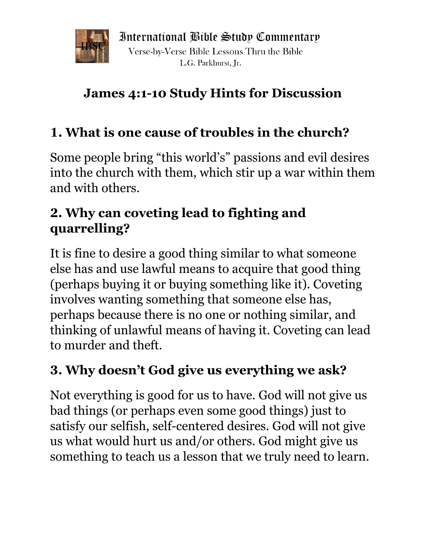

International Bible Study Commentary Verse-by-Verse Bible Lessons Thru the Bible L.G. Parkhurst. Ir.

# **James 4:1-10 Study Hints for Discussion**

## **1. What is one cause of troubles in the church?**

Some people bring "this world's" passions and evil desires into the church with them, which stir up a war within them and with others.

### **2. Why can coveting lead to fighting and quarrelling?**

It is fine to desire a good thing similar to what someone else has and use lawful means to acquire that good thing (perhaps buying it or buying something like it). Coveting involves wanting something that someone else has, perhaps because there is no one or nothing similar, and thinking of unlawful means of having it. Coveting can lead to murder and theft.

### **3. Why doesn't God give us everything we ask?**

Not everything is good for us to have. God will not give us bad things (or perhaps even some good things) just to satisfy our selfish, self-centered desires. God will not give us what would hurt us and/or others. God might give us something to teach us a lesson that we truly need to learn.